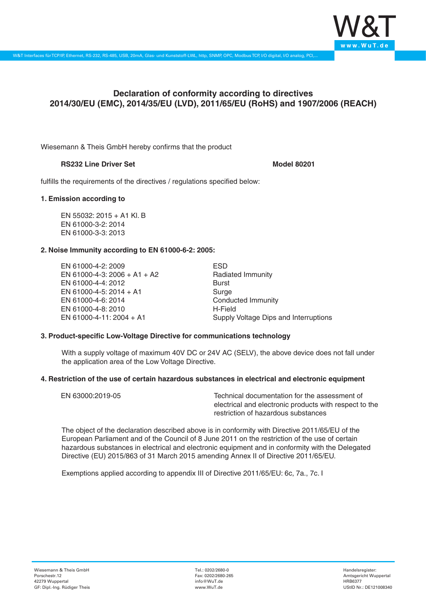

# **Declaration of conformity according to directives 2014/30/EU (EMC), 2014/35/EU (LVD), 2011/65/EU (RoHS) and 1907/2006 (REACH)**

Wiesemann & Theis GmbH hereby confirms that the product

# **RS232 Line Driver Set Model 80201**

fulfills the requirements of the directives / regulations specified below:

# **1. Emission according to**

EN 55032: 2015 + A1 Kl. B EN 61000-3-2: 2014 EN 61000-3-3: 2013

# **2. Noise Immunity according to EN 61000-6-2: 2005:**

EN 61000-4-2: 2009 EN 61000-4-3: 2006 + A1 + A2 EN 61000-4-4: 2012 EN 61000-4-5: 2014 + A1 EN 61000-4-6: 2014 EN 61000-4-8: 2010 EN 61000-4-11: 2004 + A1

ESD Radiated Immunity Burst Surge Conducted Immunity H-Field Supply Voltage Dips and Interruptions

### **3. Product-specific Low-Voltage Directive for communications technology**

With a supply voltage of maximum 40V DC or 24V AC (SELV), the above device does not fall under the application area of the Low Voltage Directive.

#### **4. Restriction of the use of certain hazardous substances in electrical and electronic equipment**

| EN 63000:2019-05 | Technical documentation for the assessment of          |
|------------------|--------------------------------------------------------|
|                  | electrical and electronic products with respect to the |
|                  | restriction of hazardous substances                    |

The object of the declaration described above is in conformity with Directive 2011/65/EU of the European Parliament and of the Council of 8 June 2011 on the restriction of the use of certain hazardous substances in electrical and electronic equipment and in conformity with the Delegated Directive (EU) 2015/863 of 31 March 2015 amending Annex II of Directive 2011/65/EU.

Exemptions applied according to appendix III of Directive 2011/65/EU: 6c, 7a., 7c. I